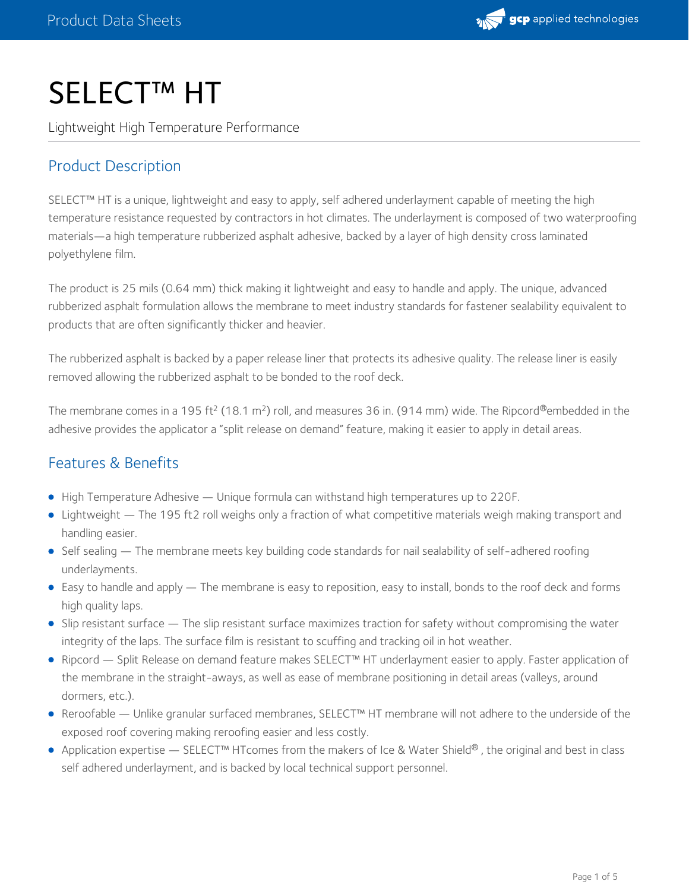

# SELECT™ HT

Lightweight High Temperature Performance

## Product Description

SELECT™ HT is a unique, lightweight and easy to apply, self adhered underlayment capable of meeting the high temperature resistance requested by contractors in hot climates. The underlayment is composed of two waterproofing materials—a high temperature rubberized asphalt adhesive, backed by a layer of high density cross laminated polyethylene film.

The product is 25 mils (0.64 mm) thick making it lightweight and easy to handle and apply. The unique, advanced rubberized asphalt formulation allows the membrane to meet industry standards for fastener sealability equivalent to products that are often significantly thicker and heavier.

The rubberized asphalt is backed by a paper release liner that protects its adhesive quality. The release liner is easily removed allowing the rubberized asphalt to be bonded to the roof deck.

The membrane comes in a 195 ft<sup>2</sup> (18.1 m<sup>2</sup>) roll, and measures 36 in. (914 mm) wide. The Ripcord®embedded in the adhesive provides the applicator a "split release on demand" feature, making it easier to apply in detail areas.

## Features & Benefits

- High Temperature Adhesive Unique formula can withstand high temperatures up to 220F.
- Lightweight The 195 ft2 roll weighs only a fraction of what competitive materials weigh making transport and handling easier.
- Self sealing The membrane meets key building code standards for nail sealability of self-adhered roofing underlayments.
- Easy to handle and apply The membrane is easy to reposition, easy to install, bonds to the roof deck and forms high quality laps.
- Slip resistant surface The slip resistant surface maximizes traction for safety without compromising the water integrity of the laps. The surface film is resistant to scuffing and tracking oil in hot weather.
- Ripcord Split Release on demand feature makes SELECT™ HT underlayment easier to apply. Faster application of the membrane in the straight-aways, as well as ease of membrane positioning in detail areas (valleys, around dormers, etc.).
- Reroofable Unlike granular surfaced membranes, SELECT™ HT membrane will not adhere to the underside of the exposed roof covering making reroofing easier and less costly.
- Application expertise SELECT™ HTcomes from the makers of Ice & Water Shield® , the original and best in class self adhered underlayment, and is backed by local technical support personnel.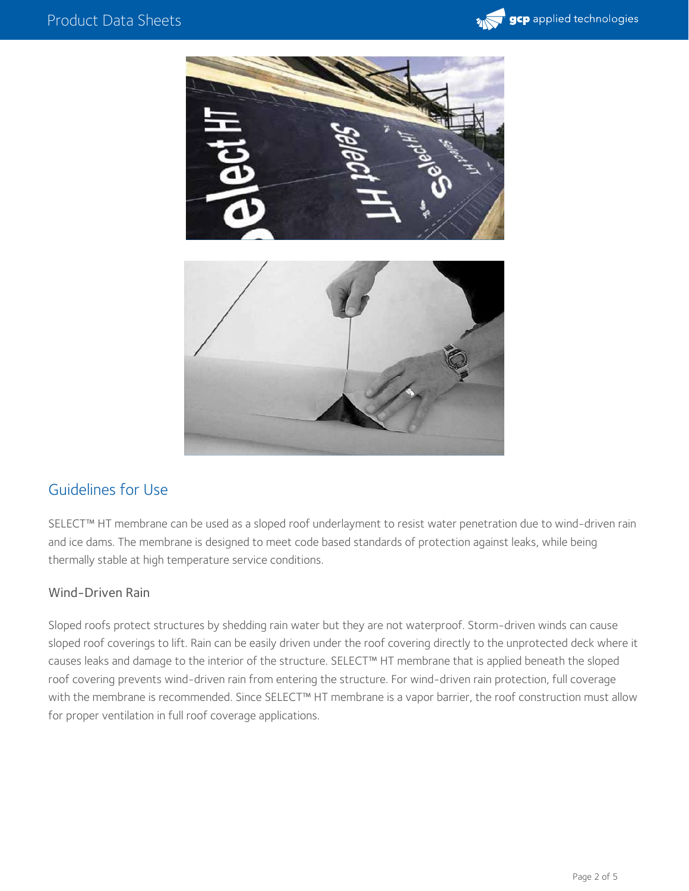



## Guidelines for Use

SELECT™ HT membrane can be used as a sloped roof underlayment to resist water penetration due to wind-driven rain and ice dams. The membrane is designed to meet code based standards of protection against leaks, while being thermally stable at high temperature service conditions.

#### Wind-Driven Rain

Sloped roofs protect structures by shedding rain water but they are not waterproof. Storm-driven winds can cause sloped roof coverings to lift. Rain can be easily driven under the roof covering directly to the unprotected deck where it causes leaks and damage to the interior of the structure. SELECT™ HT membrane that is applied beneath the sloped roof covering prevents wind-driven rain from entering the structure. For wind-driven rain protection, full coverage with the membrane is recommended. Since SELECT™ HT membrane is a vapor barrier, the roof construction must allow for proper ventilation in full roof coverage applications.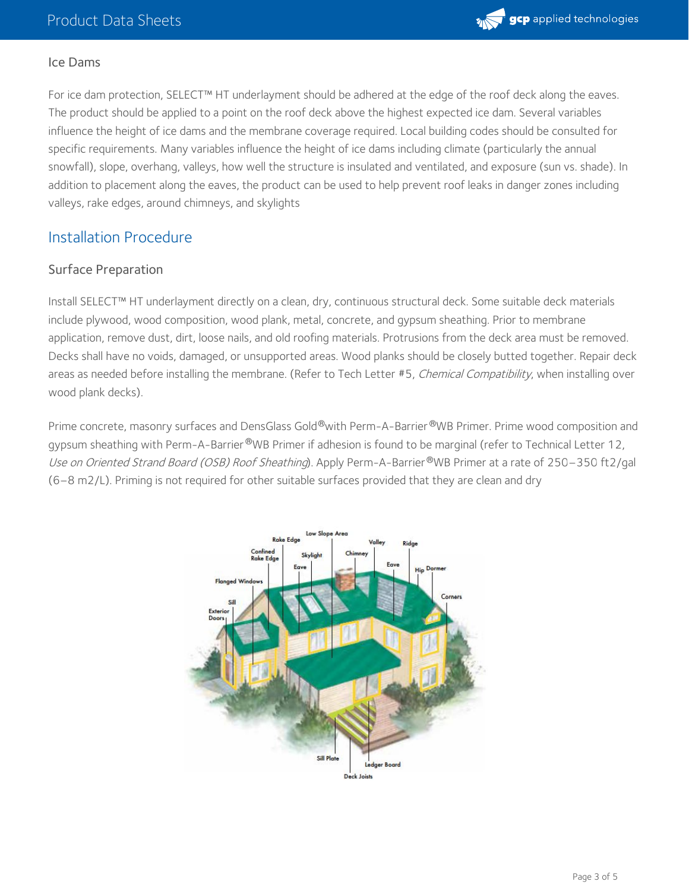

#### Ice Dams

For ice dam protection, SELECT™ HT underlayment should be adhered at the edge of the roof deck along the eaves. The product should be applied to a point on the roof deck above the highest expected ice dam. Several variables influence the height of ice dams and the membrane coverage required. Local building codes should be consulted for specific requirements. Many variables influence the height of ice dams including climate (particularly the annual snowfall), slope, overhang, valleys, how well the structure is insulated and ventilated, and exposure (sun vs. shade). In addition to placement along the eaves, the product can be used to help prevent roof leaks in danger zones including valleys, rake edges, around chimneys, and skylights

## Installation Procedure

#### Surface Preparation

Install SELECT™ HT underlayment directly on a clean, dry, continuous structural deck. Some suitable deck materials include plywood, wood composition, wood plank, metal, concrete, and gypsum sheathing. Prior to membrane application, remove dust, dirt, loose nails, and old roofing materials. Protrusions from the deck area must be removed. Decks shall have no voids, damaged, or unsupported areas. Wood planks should be closely butted together. Repair deck areas as needed before installing the membrane. (Refer to Tech Letter #5, Chemical Compatibility, when installing over wood plank decks).

Prime concrete, masonry surfaces and DensGlass Gold®with Perm-A-Barrier®WB Primer. Prime wood composition and gypsum sheathing with Perm-A-Barrier®WB Primer if adhesion is found to be marginal (refer to Technical Letter 12, Use on Oriented Strand Board (OSB) Roof Sheathing). Apply Perm-A-Barrier®WB Primer at a rate of 250–350 ft2/gal (6–8 m2/L). Priming is not required for other suitable surfaces provided that they are clean and dry

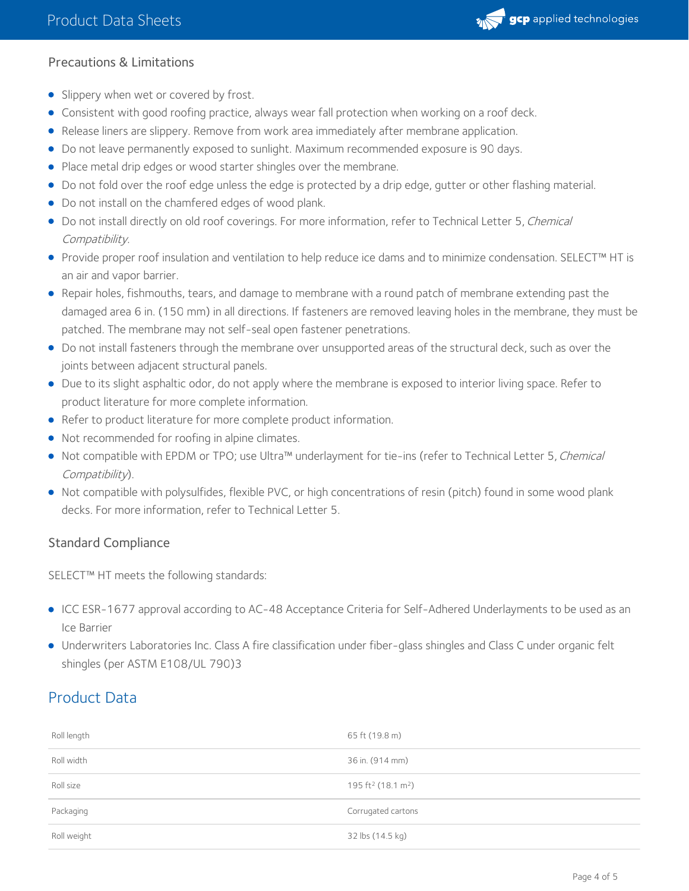

## Precautions & Limitations

- Slippery when wet or covered by frost.
- Consistent with good roofing practice, always wear fall protection when working on a roof deck.
- Release liners are slippery. Remove from work area immediately after membrane application.
- Do not leave permanently exposed to sunlight. Maximum recommended exposure is 90 days.
- Place metal drip edges or wood starter shingles over the membrane.
- Do not fold over the roof edge unless the edge is protected by a drip edge, gutter or other flashing material.
- Do not install on the chamfered edges of wood plank.
- Do not install directly on old roof coverings. For more information, refer to Technical Letter 5, Chemical Compatibility.
- Provide proper roof insulation and ventilation to help reduce ice dams and to minimize condensation. SELECT™ HT is an air and vapor barrier.
- Repair holes, fishmouths, tears, and damage to membrane with a round patch of membrane extending past the damaged area 6 in. (150 mm) in all directions. If fasteners are removed leaving holes in the membrane, they must be patched. The membrane may not self-seal open fastener penetrations.
- Do not install fasteners through the membrane over unsupported areas of the structural deck, such as over the joints between adjacent structural panels.
- Due to its slight asphaltic odor, do not apply where the membrane is exposed to interior living space. Refer to product literature for more complete information.
- Refer to product literature for more complete product information.
- Not recommended for roofing in alpine climates.
- Not compatible with EPDM or TPO; use Ultra™ underlayment for tie-ins (refer to Technical Letter 5, Chemical Compatibility).
- Not compatible with polysulfides, flexible PVC, or high concentrations of resin (pitch) found in some wood plank decks. For more information, refer to Technical Letter 5.

## Standard Compliance

SELECT™ HT meets the following standards:

- ICC ESR-1677 approval according to AC-48 Acceptance Criteria for Self-Adhered Underlayments to be used as an Ice Barrier
- Underwriters Laboratories Inc. Class A fire classification under fiber-glass shingles and Class C under organic felt shingles (per ASTM E108/UL 790)3

## Product Data

| Roll length | 65 ft (19.8 m)                             |
|-------------|--------------------------------------------|
| Roll width  | 36 in. (914 mm)                            |
| Roll size   | 195 ft <sup>2</sup> (18.1 m <sup>2</sup> ) |
| Packaging   | Corrugated cartons                         |
| Roll weight | 32 lbs (14.5 kg)                           |